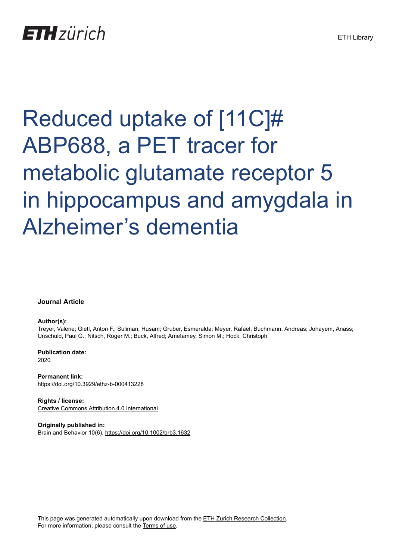# Reduced uptake of [11C]# ABP688, a PET tracer for metabolic glutamate receptor 5 in hippocampus and amygdala in Alzheimer's dementia

**Journal Article**

# **Author(s):**

Treyer, Valerie; Gietl, Anton F.; Suliman, Husam; Gruber, Esmeralda; Meyer, Rafael; Buchmann, Andreas; Johayem, Anass; Unschuld, Paul G.; Nitsch, Roger M.; Buck, Alfred; Ametamey, Simon M.; Hock, Christoph

**Publication date:** 2020

**Permanent link:** <https://doi.org/10.3929/ethz-b-000413228>

**Rights / license:** [Creative Commons Attribution 4.0 International](http://creativecommons.org/licenses/by/4.0/)

**Originally published in:** Brain and Behavior 10(6),<https://doi.org/10.1002/brb3.1632>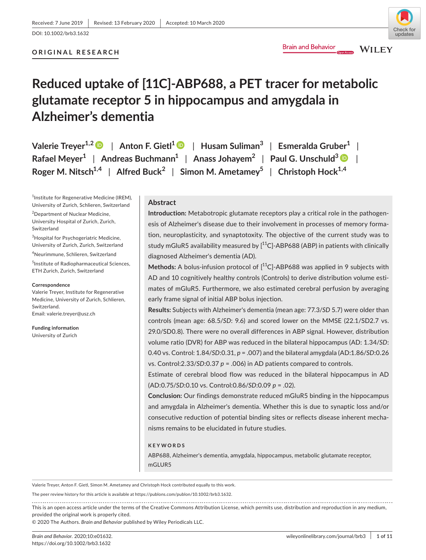# **ORIGINAL RESEARCH**

# **Reduced uptake of [11C]-ABP688, a PET tracer for metabolic glutamate receptor 5 in hippocampus and amygdala in Alzheimer's dementia**

| Valerie Treyer <sup>1,2</sup> D   Anton F. Gietl <sup>1</sup> D   Husam Suliman <sup>3</sup>   Esmeralda Gruber <sup>1</sup> |  |
|------------------------------------------------------------------------------------------------------------------------------|--|
| Rafael Meyer <sup>1</sup>   Andreas Buchmann <sup>1</sup>   Anass Johayem <sup>2</sup>   Paul G. Unschuld <sup>3</sup>       |  |
| Roger M. Nitsch <sup>1,4</sup>   Alfred Buck <sup>2</sup>   Simon M. Ametamey <sup>5</sup>   Christoph Hock <sup>1,4</sup>   |  |

1 Institute for Regenerative Medicine (IREM), University of Zurich, Schlieren, Switzerland

<sup>2</sup>Department of Nuclear Medicine, University Hospital of Zurich, Zurich, Switzerland

 $^3$ Hospital for Psychogeriatric Medicine, University of Zurich, Zurich, Switzerland

4 Neurimmune, Schlieren, Switzerland

5 Institute of Radiopharmaceutical Sciences, ETH Zurich, Zurich, Switzerland

#### **Correspondence**

Valerie Treyer, Institute for Regenerative Medicine, University of Zurich, Schlieren, Switzerland. Email: [valerie.treyer@usz.ch](mailto:valerie.treyer@usz.ch)

**Funding information** University of Zurich

# **Abstract**

**Introduction:** Metabotropic glutamate receptors play a critical role in the pathogenesis of Alzheimer's disease due to their involvement in processes of memory formation, neuroplasticity, and synaptotoxity. The objective of the current study was to study mGluR5 availability measured by  $[^{11}$ C]-ABP688 (ABP) in patients with clinically diagnosed Alzheimer's dementia (AD).

**Brain and Behavior** 

Methods: A bolus-infusion protocol of [<sup>11</sup>C]-ABP688 was applied in 9 subjects with AD and 10 cognitively healthy controls (Controls) to derive distribution volume estimates of mGluR5. Furthermore, we also estimated cerebral perfusion by averaging early frame signal of initial ABP bolus injection.

**Results:** Subjects with Alzheimer's dementia (mean age: 77.3/*SD* 5.7) were older than controls (mean age: 68.5/*SD*: 9.6) and scored lower on the MMSE (22.1/SD2.7 vs. 29.0/SD0.8). There were no overall differences in ABP signal. However, distribution volume ratio (DVR) for ABP was reduced in the bilateral hippocampus (AD: 1.34/*SD*: 0.40 vs. Control: 1.84/*SD*:0.31, *p* = .007) and the bilateral amygdala (AD:1.86/*SD*:0.26 vs. Control:2.33/*SD*:0.37 *p* = .006) in AD patients compared to controls.

Estimate of cerebral blood flow was reduced in the bilateral hippocampus in AD (AD:0.75/*SD*:0.10 vs. Control:0.86/*SD*:0.09 *p* = .02).

**Conclusion:** Our findings demonstrate reduced mGluR5 binding in the hippocampus and amygdala in Alzheimer's dementia. Whether this is due to synaptic loss and/or consecutive reduction of potential binding sites or reflects disease inherent mechanisms remains to be elucidated in future studies.

#### **KEYWORDS**

ABP688, Alzheimer's dementia, amygdala, hippocampus, metabolic glutamate receptor, mGLUR5

Valerie Treyer, Anton F. Gietl, Simon M. Ametamey and Christoph Hock contributed equally to this work.

The peer review history for this article is available at [https://publons.com/publon/10.1002/brb3.1632](https://publons.com/publon/10.XXXX/XXX.XXXXX).

This is an open access article under the terms of the Creative Commons [Attribution](http://creativecommons.org/licenses/by/4.0/) License, which permits use, distribution and reproduction in any medium, provided the original work is properly cited.

© 2020 The Authors. *Brain and Behavior* published by Wiley Periodicals LLC.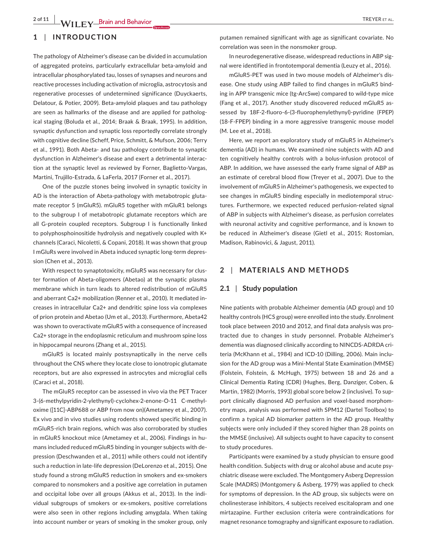# **1** | **INTRODUCTION**

The pathology of Alzheimer's disease can be divided in accumulation of aggregated proteins, particularly extracellular beta-amyloid and intracellular phosphorylated tau, losses of synapses and neurons and reactive processes including activation of microglia, astrocytosis and regenerative processes of undetermined significance (Duyckaerts, Delatour, & Potier, 2009). Beta-amyloid plaques and tau pathology are seen as hallmarks of the disease and are applied for pathological staging (Boluda et al., 2014; Braak & Braak, 1995). In addition, synaptic dysfunction and synaptic loss reportedly correlate strongly with cognitive decline (Scheff, Price, Schmitt, & Mufson, 2006; Terry et al., 1991)*.* Both Abeta- and tau pathology contribute to synaptic dysfunction in Alzheimer's disease and exert a detrimental interaction at the synaptic level as reviewed by Forner, Baglietto-Vargas, Martini, Trujillo-Estrada, & LaFerla, 2017 (Forner et al., 2017).

One of the puzzle stones being involved in synaptic toxicity in AD is the interaction of Abeta-pathology with metabotropic glutamate receptor 5 (mGluR5). mGluR5 together with mGluR1 belongs to the subgroup I of metabotropic glutamate receptors which are all G-protein coupled receptors. Subgroup I is functionally linked to polyphosphoinositide hydrolysis and negatively coupled with K+ channels (Caraci, Nicoletti, & Copani, 2018). It was shown that group I mGluRs were involved in Abeta induced synaptic long-term depression (Chen et al., 2013).

With respect to synaptotoxicity, mGluR5 was necessary for cluster formation of Abeta-oligomers (Abetao) at the synaptic plasma membrane which in turn leads to altered redistribution of mGluR5 and aberrant Ca2+ mobilization (Renner et al., 2010). It mediated increases in intracellular Ca2+ and dendritic spine loss via complexes of prion protein and Abetao (Um et al., 2013). Furthermore, Abeta42 was shown to overactivate mGluR5 with a consequence of increased Ca2+ storage in the endoplasmic reticulum and mushroom spine loss in hippocampal neurons (Zhang et al., 2015).

mGluR5 is located mainly postsynaptically in the nerve cells throughout the CNS where they locate close to ionotropic glutamate receptors, but are also expressed in astrocytes and microglial cells (Caraci et al., 2018).

The mGluR5 receptor can be assessed in vivo via the PET Tracer 3-(6-methylpyridin-2-ylethynyl)-cyclohex-2-enone-O-11 C-methyloxime ([11C]-ABP688 or ABP from now on)(Ametamey et al., 2007). Ex vivo and in vivo studies using rodents showed specific binding in mGluR5-rich brain regions, which was also corroborated by studies in mGluR5 knockout mice (Ametamey et al., 2006). Findings in humans included reduced mGluR5 binding in younger subjects with depression (Deschwanden et al., 2011) while others could not identify such a reduction in late-life depression (DeLorenzo et al., 2015). One study found a strong mGluR5 reduction in smokers and ex-smokers compared to nonsmokers and a positive age correlation in putamen and occipital lobe over all groups (Akkus et al., 2013). In the individual subgroups of smokers or ex-smokers, positive correlations were also seen in other regions including amygdala. When taking into account number or years of smoking in the smoker group, only

In neurodegenerative disease, widespread reductions in ABP signal were identified in frontotemporal dementia (Leuzy et al., 2016).

mGluR5-PET was used in two mouse models of Alzheimer's disease. One study using ABP failed to find changes in mGluR5 binding in APP transgenic mice (tg-ArcSwe) compared to wild-type mice (Fang et al., 2017). Another study discovered reduced mGluR5 assessed by 18F-2-fluoro-6-(3-fluorophenylethynyl)-pyridine (FPEP) (18-F-FPEP) binding in a more aggressive transgenic mouse model (M. Lee et al., 2018).

Here, we report an exploratory study of mGluR5 in Alzheimer's dementia (AD) in humans. We examined nine subjects with AD and ten cognitively healthy controls with a bolus-infusion protocol of ABP. In addition, we have assessed the early frame signal of ABP as an estimate of cerebral blood flow (Treyer et al., 2007). Due to the involvement of mGluR5 in Alzheimer's pathogenesis, we expected to see changes in mGluR5 binding especially in mediotemporal structures. Furthermore, we expected reduced perfusion-related signal of ABP in subjects with Alzheimer's disease, as perfusion correlates with neuronal activity and cognitive performance, and is known to be reduced in Alzheimer's disease (Gietl et al., 2015; Rostomian, Madison, Rabinovici, & Jagust, 2011).

# **2** | **MATERIALS AND METHODS**

#### **2.1** | **Study population**

Nine patients with probable Alzheimer dementia (AD group) and 10 healthy controls (HCS group) were enrolled into the study. Enrolment took place between 2010 and 2012, and final data analysis was protracted due to changes in study personnel. Probable Alzheimer's dementia was diagnosed clinically according to NINCDS-ADRDA criteria (McKhann et al., 1984) and ICD-10 (Dilling, 2006). Main inclusion for the AD group was a Mini-Mental State Examination (MMSE) (Folstein, Folstein, & McHugh, 1975) between 18 and 26 and a Clinical Dementia Rating (CDR) (Hughes, Berg, Danziger, Coben, & Martin, 1982) (Morris, 1993) global score below 2 (inclusive). To support clinically diagnosed AD perfusion and voxel-based morphometry maps, analysis was performed with SPM12 (Dartel Toolbox) to confirm a typical AD biomarker pattern in the AD group. Healthy subjects were only included if they scored higher than 28 points on the MMSE (inclusive). All subjects ought to have capacity to consent to study procedures.

Participants were examined by a study physician to ensure good health condition. Subjects with drug or alcohol abuse and acute psychiatric disease were excluded. The Montgomery Asberg Depression Scale (MADRS) (Montgomery & Asberg, 1979) was applied to check for symptoms of depression. In the AD group, six subjects were on cholinesterase inhibitors, 4 subjects received escitalopram and one mirtazapine. Further exclusion criteria were contraindications for magnet resonance tomography and significant exposure to radiation.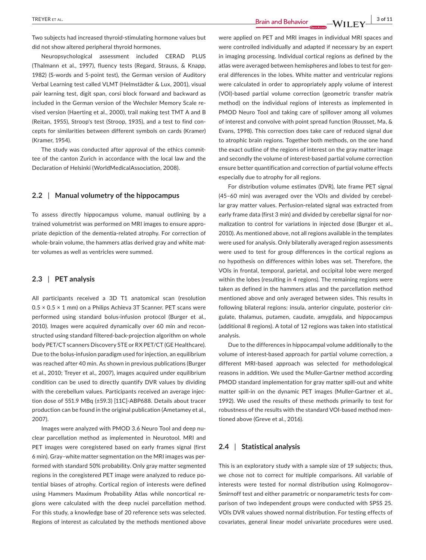Two subjects had increased thyroid-stimulating hormone values but did not show altered peripheral thyroid hormones.

Neuropsychological assessment included CERAD PLUS (Thalmann et al., 1997), fluency tests (Regard, Strauss, & Knapp, 1982) (S-words and 5-point test), the German version of Auditory Verbal Learning test called VLMT (Helmstädter & Lux, 2001), visual pair learning test, digit span, corsi block forward and backward as included in the German version of the Wechsler Memory Scale revised version (Haerting et al., 2000), trail making test TMT A and B (Reitan, 1955), Stroop's test (Stroop, 1935), and a test to find concepts for similarities between different symbols on cards (Kramer) (Kramer, 1954).

The study was conducted after approval of the ethics committee of the canton Zurich in accordance with the local law and the Declaration of Helsinki (WorldMedicalAssociation, 2008).

#### **2.2** | **Manual volumetry of the hippocampus**

To assess directly hippocampus volume, manual outlining by a trained volumetrist was performed on MRI images to ensure appropriate depiction of the dementia-related atrophy. For correction of whole-brain volume, the hammers atlas derived gray and white matter volumes as well as ventricles were summed.

#### **2.3** | **PET analysis**

All participants received a 3D T1 anatomical scan (resolution  $0.5 \times 0.5 \times 1$  mm) on a Philips Achieva 3T Scanner. PET scans were performed using standard bolus-infusion protocol (Burger et al., 2010). Images were acquired dynamically over 60 min and reconstructed using standard filtered-back-projection algorithm on whole body PET/CT scanners Discovery STE or RX PET/CT (GE Healthcare). Due to the bolus-infusion paradigm used for injection, an equilibrium was reached after 40 min. As shown in previous publications (Burger et al., 2010; Treyer et al., 2007), images acquired under equilibrium condition can be used to directly quantify DVR values by dividing with the cerebellum values. Participants received an average injection dose of 551.9 MBq (±59.3) [11C]-ABP688. Details about tracer production can be found in the original publication (Ametamey et al., 2007).

Images were analyzed with PMOD 3.6 Neuro Tool and deep nuclear parcellation method as implemented in Neurotool. MRI and PET images were coregistered based on early frames signal (first 6 min). Gray–white matter segmentation on the MRI images was performed with standard 50% probability. Only gray matter segmented regions in the coregistered PET image were analyzed to reduce potential biases of atrophy. Cortical region of interests were defined using Hammers Maximum Probability Atlas while noncortical regions were calculated with the deep nuclei parcellation method. For this study, a knowledge base of 20 reference sets was selected. Regions of interest as calculated by the methods mentioned above

were applied on PET and MRI images in individual MRI spaces and were controlled individually and adapted if necessary by an expert in imaging processing. Individual cortical regions as defined by the atlas were averaged between hemispheres and lobes to test for general differences in the lobes. White matter and ventricular regions were calculated in order to appropriately apply volume of interest (VOI)-based partial volume correction (geometric transfer matrix method) on the individual regions of interests as implemented in PMOD Neuro Tool and taking care of spillover among all volumes of interest and convolve with point spread function (Rousset, Ma, & Evans, 1998). This correction does take care of reduced signal due to atrophic brain regions. Together both methods, on the one hand the exact outline of the regions of interest on the gray matter image and secondly the volume of interest-based partial volume correction ensure better quantification and correction of partial volume effects especially due to atrophy for all regions.

For distribution volume estimates (DVR), late frame PET signal (45–60 min) was averaged over the VOIs and divided by cerebellar gray matter values. Perfusion-related signal was extracted from early frame data (first 3 min) and divided by cerebellar signal for normalization to control for variations in injected dose (Burger et al., 2010). As mentioned above, not all regions available in the templates were used for analysis. Only bilaterally averaged region assessments were used to test for group differences in the cortical regions as no hypothesis on differences within lobes was set. Therefore, the VOIs in frontal, temporal, parietal, and occipital lobe were merged within the lobes (resulting in 4 regions). The remaining regions were taken as defined in the hammers atlas and the parcellation method mentioned above and only averaged between sides. This results in following bilateral regions: insula, anterior cingulate, posterior cingulate, thalamus, putamen, caudate, amygdala, and hippocampus (additional 8 regions). A total of 12 regions was taken into statistical analysis.

Due to the differences in hippocampal volume additionally to the volume of interest-based approach for partial volume correction, a different MRI-based approach was selected for methodological reasons in addition. We used the Muller-Gartner method according PMOD standard implementation for gray matter spill-out and white matter spill-in on the dynamic PET images (Muller-Gartner et al., 1992). We used the results of these methods primarily to test for robustness of the results with the standard VOI-based method mentioned above (Greve et al., 2016).

#### **2.4** | **Statistical analysis**

This is an exploratory study with a sample size of 19 subjects; thus, we chose not to correct for multiple comparisons. All variable of interests were tested for normal distribution using Kolmogorov– Smirnoff test and either parametric or nonparametric tests for comparison of two independent groups were conducted with SPSS 25. VOIs DVR values showed normal distribution. For testing effects of covariates, general linear model univariate procedures were used.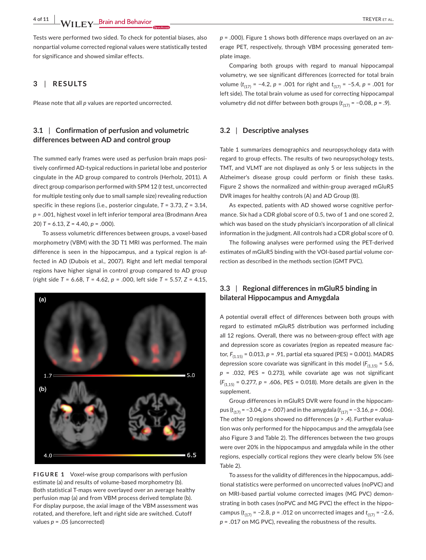Tests were performed two sided. To check for potential biases, also nonpartial volume corrected regional values were statistically tested for significance and showed similar effects.

### **3** | **RESULTS**

Please note that all *p* values are reported uncorrected.

# **3.1** | **Confirmation of perfusion and volumetric differences between AD and control group**

The summed early frames were used as perfusion brain maps positively confirmed AD-typical reductions in parietal lobe and posterior cingulate in the AD group compared to controls (Herholz, 2011). A direct group comparison performed with SPM 12 (*t* test, uncorrected for multiple testing only due to small sample size) revealing reduction specific in these regions (i.e., posterior cingulate, *T* = 3.73, *Z* = 3.14, *p* = .001, highest voxel in left inferior temporal area (Brodmann Area 20) *T* = 6.13, Z = 4.40, *p* = .000).

To assess volumetric differences between groups, a voxel-based morphometry (VBM) with the 3D T1 MRI was performed. The main difference is seen in the hippocampus, and a typical region is affected in AD (Dubois et al., 2007). Right and left medial temporal regions have higher signal in control group compared to AD group (right side *T* = 6.68, *T* = 4.62, *p* = .000, left side *T* = 5.57, *Z* = 4.15,



**FIGURE 1** Voxel-wise group comparisons with perfusion estimate (a) and results of volume-based morphometry (b). Both statistical T-maps were overlayed over an average healthy perfusion map (a) and from VBM process derived template (b). For display purpose, the axial image of the VBM assessment was rotated, and therefore, left and right side are switched. Cutoff values *p* = .05 (uncorrected)

*p* = .000). Figure 1 shows both difference maps overlayed on an average PET, respectively, through VBM processing generated template image.

Comparing both groups with regard to manual hippocampal volumetry, we see significant differences (corrected for total brain volume (*t*(17) = −4.2, *p* = .001 for right and *t*(17) = −5.4, *p* = .001 for left side). The total brain volume as used for correcting hippocampal volumetry did not differ between both groups ( $t_{(17)}$  = −0.08, *p* = .9).

#### **3.2** | **Descriptive analyses**

Table 1 summarizes demographics and neuropsychology data with regard to group effects. The results of two neuropsychology tests, TMT, and VLMT are not displayed as only 5 or less subjects in the Alzheimer's disease group could perform or finish these tasks. Figure 2 shows the normalized and within-group averaged mGluR5 DVR images for healthy controls (A) and AD Group (B).

As expected, patients with AD showed worse cognitive performance. Six had a CDR global score of 0.5, two of 1 and one scored 2, which was based on the study physician's incorporation of all clinical information in the judgment. All controls had a CDR global score of 0.

The following analyses were performed using the PET-derived estimates of mGluR5 binding with the VOI-based partial volume correction as described in the methods section (GMT PVC).

# **3.3** | **Regional differences in mGluR5 binding in bilateral Hippocampus and Amygdala**

A potential overall effect of differences between both groups with regard to estimated mGluR5 distribution was performed including all 12 regions. Overall, there was no between-group effect with age and depression score as covariates (region as repeated measure factor, *F*(1.15) = 0.013, *p* = .91, partial eta squared (PES) = 0.001). MADRS depression score covariate was significant in this model  $(F<sub>(1.15)</sub> = 5.6)$ , *p* = .032, PES = 0.273), while covariate age was not significant (*F*(1,15) = 0.277, *p* = .606, PES = 0.018). More details are given in the supplement.

Group differences in mGluR5 DVR were found in the hippocampus ( $t_{(17)}$  = −3.04, *p* = .007) and in the amygdala ( $t_{(17)}$  = −3.16, *p* = .006). The other 10 regions showed no differences (*p* > .4). Further evaluation was only performed for the hippocampus and the amygdala (see also Figure 3 and Table 2). The differences between the two groups were over 20% in the hippocampus and amygdala while in the other regions, especially cortical regions they were clearly below 5% (see Table 2).

To assess for the validity of differences in the hippocampus, additional statistics were performed on uncorrected values (noPVC) and on MRI-based partial volume corrected images (MG PVC) demonstrating in both cases (noPVC and MG PVC) the effect in the hippocampus ( $t_{(17)}$  = −2.8,  $p$  = .012 on uncorrected images and  $t_{(17)}$  = −2.6, *p* = .017 on MG PVC), revealing the robustness of the results.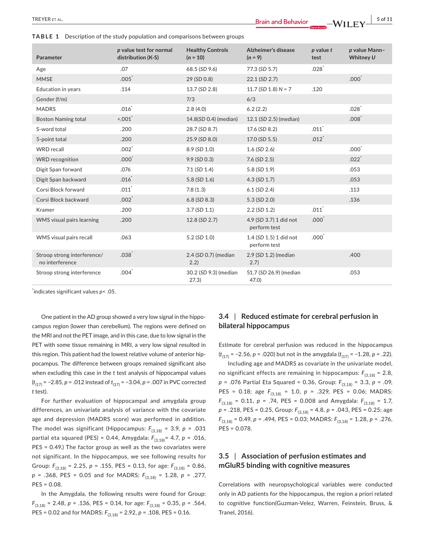**TABLE 1** Description of the study population and comparisons between groups

| Parameter                                      | p value test for normal<br>distribution (K-S) | <b>Healthy Controls</b><br>$(n = 10)$ | Alzheimer's disease<br>$(n = 9)$       | $p$ value $t$<br>test | p value Mann-<br>Whitney U |
|------------------------------------------------|-----------------------------------------------|---------------------------------------|----------------------------------------|-----------------------|----------------------------|
| Age                                            | .07                                           | 68.5 (SD 9.6)                         | 77.3 (SD 5.7)                          | .028                  |                            |
| <b>MMSE</b>                                    | $.005$ <sup>*</sup>                           | 29 (SD 0.8)                           | 22.1 (SD 2.7)                          |                       | $.000^*$                   |
| Education in years                             | .114                                          | 13.7 (SD 2.8)                         | 11.7 (SD 1.8) $N = 7$                  | .120                  |                            |
| Gender (f/m)                                   |                                               | 7/3                                   | 6/3                                    |                       |                            |
| <b>MADRS</b>                                   | .016                                          | 2.8(4.0)                              | 6.2(2.2)                               |                       | .028                       |
| <b>Boston Naming total</b>                     | $-.001$                                       | 14.8(SD 0.4) (median)                 | 12.1 (SD 2.5) (median)                 |                       | .008                       |
| S-word total                                   | .200                                          | 28.7 (SD 8.7)                         | 17.6 (SD 8.2)                          | .011                  |                            |
| 5-point total                                  | .200                                          | 25.9 (SD 8.0)                         | 17.0 (SD 5.5)                          | $.012$ <sup>*</sup>   |                            |
| <b>WRD</b> recall                              | $.002$ <sup>*</sup>                           | 8.9 (SD 1.0)                          | $1.6$ (SD $2.6$ )                      |                       | $.000*$                    |
| <b>WRD</b> recognition                         | $.000*$                                       | $9.9$ (SD 0.3)                        | $7.6$ (SD 2.5)                         |                       | $.022$ <sup>*</sup>        |
| Digit Span forward                             | .076                                          | $7.1$ (SD $1.4$ )                     | 5.8 (SD 1.9)                           |                       | .053                       |
| Digit Span backward                            | $.016$ <sup>*</sup>                           | 5.8(SD 1.6)                           | 4.3 (SD 1.7)                           |                       | .053                       |
| Corsi Block forward                            | $.011$ <sup>*</sup>                           | 7.8(1.3)                              | $6.1$ (SD 2.4)                         |                       | .113                       |
| Corsi Block backward                           | $.002*$                                       | $6.8$ (SD $8.3$ )                     | 5.3 (SD 2.0)                           |                       | .136                       |
| Kramer                                         | .200                                          | 3.7(SD 1.1)                           | $2.2$ (SD $1.2$ )                      | $.011$ <sup>*</sup>   |                            |
| <b>WMS</b> visual pairs learning               | .200                                          | 12.8 (SD 2.7)                         | 4.9 (SD 3.7) 1 did not<br>perform test | .000 <sup>°</sup>     |                            |
| WMS visual pairs recall                        | .063                                          | $5.2$ (SD $1.0$ )                     | 1.4 (SD 1.5) 1 did not<br>perform test | .000 <sup>°</sup>     |                            |
| Stroop strong interference/<br>no interference | .038 <sup>°</sup>                             | 2.4 (SD 0.7) (median<br>2.2)          | 2.9 (SD 1.2) (median<br>2.7)           |                       | .400                       |
| Stroop strong interference                     | $.004$ <sup>*</sup>                           | 30.2 (SD 9.3) (median<br>27.3)        | 51.7 (SD 26.9) (median<br>47.0         |                       | .053                       |

\* indicates significant values *p*< .05.

One patient in the AD group showed a very low signal in the hippocampus region (lower than cerebellum). The regions were defined on the MRI and not the PET image, and in this case, due to low signal in the PET with some tissue remaining in MRI, a very low signal resulted in this region. This patient had the lowest relative volume of anterior hippocampus. The difference between groups remained significant also when excluding this case in the *t* test analysis of hippocampal values (*t*(17) = −2.85, *p* = .012 instead of *t*(17) = −3.04, *p* = .007 in PVC corrected *t* test).

For further evaluation of hippocampal and amygdala group differences, an univariate analysis of variance with the covariate age and depression (MADRS score) was performed in addition. The model was significant (Hippocampus:  $F_{(3,18)} = 3.9$ ,  $p = .031$ partial eta squared (PES) = 0.44, Amygdala: *F*(3,18)= 4.7, *p* = .016, PES = 0.49.) The factor group as well as the two covariates were not significant. In the hippocampus, we see following results for Group:  $F_{(3,18)} = 2.25$ ,  $p = .155$ , PES = 0.13, for age:  $F_{(3,18)} = 0.86$ , *p* = .368, PES = 0.05 and for MADRS: *F*(3,18) = 1.28, *p* = .277, PES = 0.08.

In the Amygdala, the following results were found for Group:  $F_{(3,18)} = 2.48$ ,  $p = .136$ , PES = 0.14, for age:  $F_{(3,18)} = 0.35$ ,  $p = .564$ , PES = 0.02 and for MADRS: *F*(3,18) = 2.92, *p* = .108, PES = 0.16.

# **3.4** | **Reduced estimate for cerebral perfusion in bilateral hippocampus**

Estimate for cerebral perfusion was reduced in the hippocampus (*t*(17) = −2.56, *p* = .020) but not in the amygdala (*t*(17) = −1.28, *p* = .22).

Including age and MADRS as covariate in the univariate model, no significant effects are remaining in hippocampus:  $F_{(3,18)} = 2.8$ , *p* = .076 Partial Eta Squared = 0.36, Group: *F*(3,18) = 3.3, *p* = .09, PES = 0.18; age *F*(3,18) = 1.0, *p* = .329, PES = 0.06; MADRS: *F*(3,18) = 0.11, *p* = .74, PES = 0.008 and Amygdala: *F*(3,18) = 1.7, *p* = .218, PES = 0.25, Group: *F*(3,18) = 4.8, *p* = .043, PES = 0.25; age *F*(3,18) = 0.49, *p* = .494, PES = 0.03; MADRS: *F*(3,18) = 1.28, *p* = .276, PES = 0.078.

# **3.5** | **Association of perfusion estimates and mGluR5 binding with cognitive measures**

Correlations with neuropsychological variables were conducted only in AD patients for the hippocampus, the region a priori related to cognitive function(Guzman-Velez, Warren, Feinstein, Bruss, & Tranel, 2016).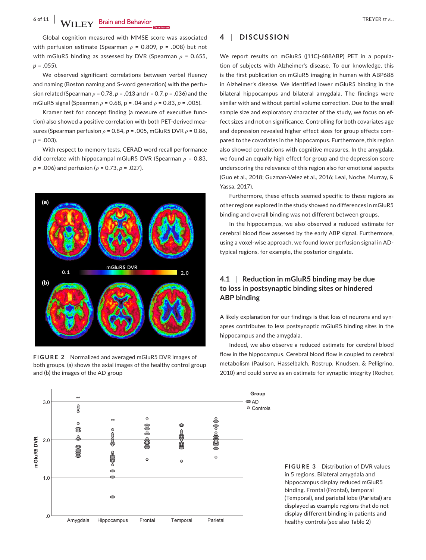Global cognition measured with MMSE score was associated with perfusion estimate (Spearman *ρ* = 0.809, *p* = .008) but not with mGluR5 binding as assessed by DVR (Spearman *ρ* = 0.655,  $p = .055$ ).

We observed significant correlations between verbal fluency and naming (Boston naming and S-word generation) with the perfusion related (Spearman *ρ* = 0.78, *p* = .013 and r = 0.7, *p* = .036) and the mGluR5 signal (Spearman *ρ* = 0.68, p = .04 and *ρ* = 0.83, *p* = .005).

Kramer test for concept finding (a measure of executive function) also showed a positive correlation with both PET-derived measures (Spearman perfusion *ρ* = 0.84, *p* = .005, mGluR5 DVR *ρ* = 0.86, *p* = .003).

With respect to memory tests, CERAD word recall performance did correlate with hippocampal mGluR5 DVR (Spearman *ρ* = 0.83, *p* = .006) and perfusion (*ρ* = 0.73, *p* = .027).



**FIGURE 2** Normalized and averaged mGluR5 DVR images of both groups. (a) shows the axial images of the healthy control group and (b) the images of the AD group



## **4** | **DISCUSSION**

We report results on mGluR5 ([11C]-688ABP) PET in a population of subjects with Alzheimer's disease. To our knowledge, this is the first publication on mGluR5 imaging in human with ABP688 in Alzheimer's disease. We identified lower mGluR5 binding in the bilateral hippocampus and bilateral amygdala. The findings were similar with and without partial volume correction. Due to the small sample size and exploratory character of the study, we focus on effect sizes and not on significance. Controlling for both covariates age and depression revealed higher effect sizes for group effects compared to the covariates in the hippocampus. Furthermore, this region also showed correlations with cognitive measures. In the amygdala, we found an equally high effect for group and the depression score underscoring the relevance of this region also for emotional aspects (Guo et al., 2018; Guzman-Velez et al., 2016; Leal, Noche, Murray, & Yassa, 2017).

Furthermore, these effects seemed specific to these regions as other regions explored in the study showed no differences in mGluR5 binding and overall binding was not different between groups.

In the hippocampus, we also observed a reduced estimate for cerebral blood flow assessed by the early ABP signal. Furthermore, using a voxel-wise approach, we found lower perfusion signal in ADtypical regions, for example, the posterior cingulate.

# **4.1** | **Reduction in mGluR5 binding may be due to loss in postsynaptic binding sites or hindered ABP binding**

A likely explanation for our findings is that loss of neurons and synapses contributes to less postsynaptic mGluR5 binding sites in the hippocampus and the amygdala.

Indeed, we also observe a reduced estimate for cerebral blood flow in the hippocampus. Cerebral blood flow is coupled to cerebral metabolism (Paulson, Hasselbalch, Rostrup, Knudsen, & Pelligrino, 2010) and could serve as an estimate for synaptic integrity (Rocher,

**FIGURE 3** Distribution of DVR values in 5 regions. Bilateral amygdala and hippocampus display reduced mGluR5 binding. Frontal (Frontal), temporal (Temporal), and parietal lobe (Parietal) are displayed as example regions that do not display different binding in patients and healthy controls (see also Table 2)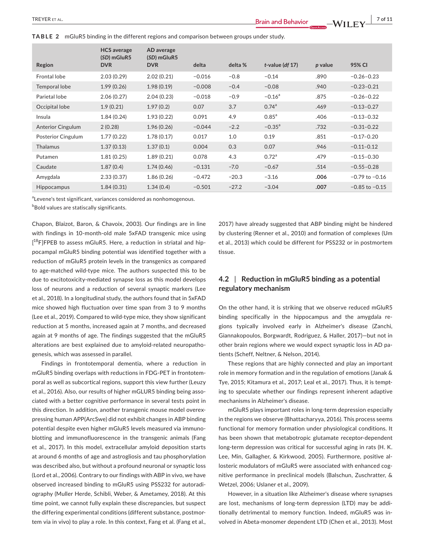**TABLE 2**  mGluR5 binding in the different regions and comparison between groups under study.

|                          | <b>HCS</b> average<br>(SD) mGluR5 | AD average<br>(SD) mGluR5 |          |         |                      |           |                    |
|--------------------------|-----------------------------------|---------------------------|----------|---------|----------------------|-----------|--------------------|
| Region                   | <b>DVR</b>                        | <b>DVR</b>                | delta    | delta % | $t$ -value (df 17)   | $p$ value | 95% CI             |
| <b>Frontal lobe</b>      | 2.03(0.29)                        | 2.02(0.21)                | $-0.016$ | $-0.8$  | $-0.14$              | .890      | $-0.26 - 0.23$     |
| Temporal lobe            | 1.99(0.26)                        | 1.98(0.19)                | $-0.008$ | $-0.4$  | $-0.08$              | .940      | $-0.23 - 0.21$     |
| Parietal lobe            | 2.06(0.27)                        | 2.04(0.23)                | $-0.018$ | $-0.9$  | $-0.16$ <sup>a</sup> | .875      | $-0.26 - 0.22$     |
| Occipital lobe           | 1.9(0.21)                         | 1.97(0.2)                 | 0.07     | 3.7     | 0.74 <sup>a</sup>    | .469      | $-0.13 - 0.27$     |
| Insula                   | 1.84(0.24)                        | 1.93(0.22)                | 0.091    | 4.9     | $0.85^{a}$           | .406      | $-0.13 - 0.32$     |
| <b>Anterior Cingulum</b> | 2(0.28)                           | 1.96(0.26)                | $-0.044$ | $-2.2$  | $-0.35$ <sup>a</sup> | .732      | $-0.31-0.22$       |
| Posterior Cingulum       | 1.77(0.22)                        | 1.78(0.17)                | 0.017    | 1.0     | 0.19                 | .851      | $-0.17-0.20$       |
| <b>Thalamus</b>          | 1.37(0.13)                        | 1.37(0.1)                 | 0.004    | 0.3     | 0.07                 | .946      | $-0.11 - 0.12$     |
| Putamen                  | 1.81(0.25)                        | 1.89(0.21)                | 0.078    | 4.3     | 0.72 <sup>a</sup>    | .479      | $-0.15 - 0.30$     |
| Caudate                  | 1.87(0.4)                         | 1.74(0.46)                | $-0.131$ | $-7.0$  | $-0.67$              | .514      | $-0.55 - 0.28$     |
| Amygdala                 | 2.33(0.37)                        | 1.86(0.26)                | $-0.472$ | $-20.3$ | $-3.16$              | .006      | $-0.79$ to $-0.16$ |
| <b>Hippocampus</b>       | 1.84(0.31)                        | 1.34(0.4)                 | $-0.501$ | $-27.2$ | $-3.04$              | .007      | $-0.85$ to $-0.15$ |

<sup>a</sup>Levene's test significant, variances considered as nonhomogenous.

 $^{\rm b}$ Bold values are statiscally significants.

Chapon, Blaizot, Baron, & Chavoix, 2003). Our findings are in line with findings in 10-month-old male 5xFAD transgenic mice using [<sup>18</sup>F]FPEB to assess mGluR5. Here, a reduction in striatal and hippocampal mGluR5 binding potential was identified together with a reduction of mGluR5 protein levels in the transgenics as compared to age-matched wild-type mice. The authors suspected this to be due to excitotoxicity-mediated synapse loss as this model develops loss of neurons and a reduction of several synaptic markers (Lee et al., 2018). In a longitudinal study, the authors found that in 5xFAD mice showed high fluctuation over time span from 3 to 9 months (Lee et al., 2019). Compared to wild-type mice, they show significant reduction at 5 months, increased again at 7 months, and decreased again at 9 months of age. The findings suggested that the mGluR5 alterations are best explained due to amyloid-related neuropathogenesis, which was assessed in parallel.

Findings in frontotemporal dementia, where a reduction in mGluR5 binding overlaps with reductions in FDG-PET in frontotemporal as well as subcortical regions, support this view further (Leuzy et al., 2016). Also, our results of higher mGLUR5 binding being associated with a better cognitive performance in several tests point in this direction. In addition, another transgenic mouse model overexpressing human APP(ArcSwe) did not exhibit changes in ABP binding potential despite even higher mGluR5 levels measured via immunoblotting and immunofluorescence in the transgenic animals (Fang et al., 2017). In this model, extracellular amyloid deposition starts at around 6 months of age and astrogliosis and tau phosphorylation was described also, but without a profound neuronal or synaptic loss (Lord et al., 2006). Contrary to our findings with ABP in vivo, we have observed increased binding to mGluR5 using PSS232 for autoradiography (Muller Herde, Schibli, Weber, & Ametamey, 2018). At this time point, we cannot fully explain these discrepancies, but suspect the differing experimental conditions (different substance, postmortem via in vivo) to play a role. In this context, Fang et al. (Fang et al.,

2017) have already suggested that ABP binding might be hindered by clustering (Renner et al., 2010) and formation of complexes (Um et al., 2013) which could be different for PSS232 or in postmortem tissue.

# **4.2** | **Reduction in mGluR5 binding as a potential regulatory mechanism**

On the other hand, it is striking that we observe reduced mGluR5 binding specifically in the hippocampus and the amygdala regions typically involved early in Alzheimer's disease (Zanchi, Giannakopoulos, Borgwardt, Rodriguez, & Haller, 2017)—but not in other brain regions where we would expect synaptic loss in AD patients (Scheff, Neltner, & Nelson, 2014).

These regions that are highly connected and play an important role in memory formation and in the regulation of emotions (Janak & Tye, 2015; Kitamura et al., 2017; Leal et al., 2017). Thus, it is tempting to speculate whether our findings represent inherent adaptive mechanisms in Alzheimer's disease.

mGluR5 plays important roles in long-term depression especially in the regions we observe (Bhattacharyya, 2016). This process seems functional for memory formation under physiological conditions. It has been shown that metabotropic glutamate receptor-dependent long-term depression was critical for successful aging in rats (H. K. Lee, Min, Gallagher, & Kirkwood, 2005). Furthermore, positive allosteric modulators of mGluR5 were associated with enhanced cognitive performance in preclinical models (Balschun, Zuschratter, & Wetzel, 2006; Uslaner et al., 2009).

However, in a situation like Alzheimer's disease where synapses are lost, mechanisms of long-term depression (LTD) may be additionally detrimental to memory function. Indeed, mGluR5 was involved in Abeta-monomer dependent LTD (Chen et al., 2013). Most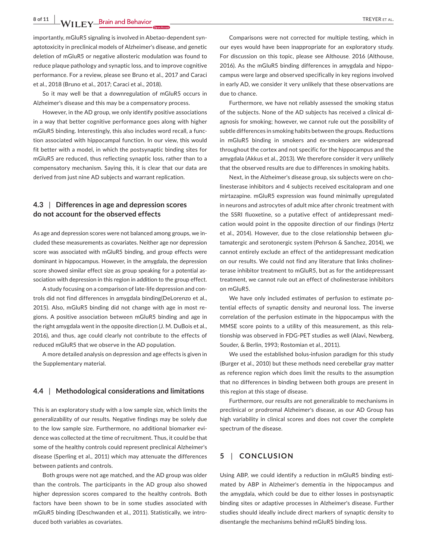8 of 11 **WII FY Brain and Behavior CONSIDERITY CONSIDERS ALL CONSIDERS ALL CONSIDERS ALL CONSIDERS ALL CONSIDERS ALL** 

importantly, mGluR5 signaling is involved in Abetao-dependent synaptotoxicity in preclinical models of Alzheimer's disease, and genetic deletion of mGluR5 or negative allosteric modulation was found to reduce plaque pathology and synaptic loss, and to improve cognitive performance. For a review, please see Bruno et al., 2017 and Caraci et al., 2018 (Bruno et al., 2017; Caraci et al., 2018).

So it may well be that a downregulation of mGluR5 occurs in Alzheimer's disease and this may be a compensatory process.

However, in the AD group, we only identify positive associations in a way that better cognitive performance goes along with higher mGluR5 binding. Interestingly, this also includes word recall, a function associated with hippocampal function. In our view, this would fit better with a model, in which the postsynaptic binding sites for mGluR5 are reduced, thus reflecting synaptic loss, rather than to a compensatory mechanism. Saying this, it is clear that our data are derived from just nine AD subjects and warrant replication.

# **4.3** | **Differences in age and depression scores do not account for the observed effects**

As age and depression scores were not balanced among groups, we included these measurements as covariates. Neither age nor depression score was associated with mGluR5 binding, and group effects were dominant in hippocampus. However, in the amygdala, the depression score showed similar effect size as group speaking for a potential association with depression in this region in addition to the group effect.

A study focusing on a comparison of late-life depression and controls did not find differences in amygdala binding(DeLorenzo et al., 2015). Also, mGluR5 binding did not change with age in most regions. A positive association between mGluR5 binding and age in the right amygdala went in the opposite direction (J. M. DuBois et al., 2016), and thus, age could clearly not contribute to the effects of reduced mGluR5 that we observe in the AD population.

A more detailed analysis on depression and age effects is given in the Supplementary material.

#### **4.4** | **Methodological considerations and limitations**

This is an exploratory study with a low sample size, which limits the generalizability of our results. Negative findings may be solely due to the low sample size. Furthermore, no additional biomarker evidence was collected at the time of recruitment. Thus, it could be that some of the healthy controls could represent preclinical Alzheimer's disease (Sperling et al., 2011) which may attenuate the differences between patients and controls.

Both groups were not age matched, and the AD group was older than the controls. The participants in the AD group also showed higher depression scores compared to the healthy controls. Both factors have been shown to be in some studies associated with mGluR5 binding (Deschwanden et al., 2011). Statistically, we introduced both variables as covariates.

Comparisons were not corrected for multiple testing, which in our eyes would have been inappropriate for an exploratory study. For discussion on this topic, please see Althouse, 2016 (Althouse, 2016). As the mGluR5 binding differences in amygdala and hippocampus were large and observed specifically in key regions involved in early AD, we consider it very unlikely that these observations are due to chance.

Furthermore, we have not reliably assessed the smoking status of the subjects. None of the AD subjects has received a clinical diagnosis for smoking; however, we cannot rule out the possibility of subtle differences in smoking habits between the groups. Reductions in mGluR5 binding in smokers and ex-smokers are widespread throughout the cortex and not specific for the hippocampus and the amygdala (Akkus et al., 2013). We therefore consider it very unlikely that the observed results are due to differences in smoking habits.

Next, in the Alzheimer's disease group, six subjects were on cholinesterase inhibitors and 4 subjects received escitalopram and one mirtazapine. mGluR5 expression was found minimally upregulated in neurons and astrocytes of adult mice after chronic treatment with the SSRI fluoxetine, so a putative effect of antidepressant medication would point in the opposite direction of our findings (Hertz et al., 2014). However, due to the close relationship between glutamatergic and serotonergic system (Pehrson & Sanchez, 2014), we cannot entirely exclude an effect of the antidepressant medication on our results. We could not find any literature that links cholinesterase inhibitor treatment to mGluR5, but as for the antidepressant treatment, we cannot rule out an effect of cholinesterase inhibitors on mGluR5.

We have only included estimates of perfusion to estimate potential effects of synaptic density and neuronal loss. The inverse correlation of the perfusion estimate in the hippocampus with the MMSE score points to a utility of this measurement, as this relationship was observed in FDG-PET studies as well (Alavi, Newberg, Souder, & Berlin, 1993; Rostomian et al., 2011).

We used the established bolus-infusion paradigm for this study (Burger et al., 2010) but these methods need cerebellar gray matter as reference region which does limit the results to the assumption that no differences in binding between both groups are present in this region at this stage of disease.

Furthermore, our results are not generalizable to mechanisms in preclinical or prodromal Alzheimer's disease, as our AD Group has high variability in clinical scores and does not cover the complete spectrum of the disease.

# **5** | **CONCLUSION**

Using ABP, we could identify a reduction in mGluR5 binding estimated by ABP in Alzheimer's dementia in the hippocampus and the amygdala, which could be due to either losses in postsynaptic binding sites or adaptive processes in Alzheimer's disease. Further studies should ideally include direct markers of synaptic density to disentangle the mechanisms behind mGluR5 binding loss.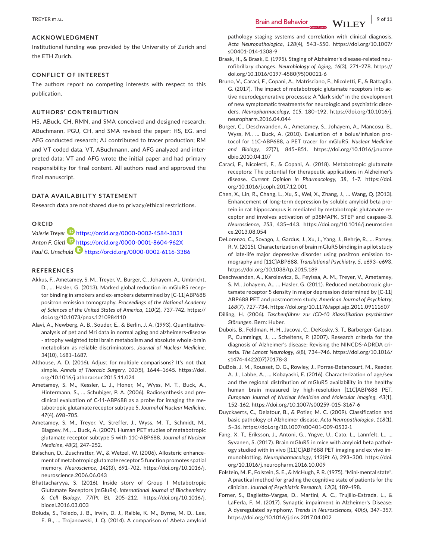Institutional funding was provided by the University of Zurich and the ETH Zurich.

### **CONFLICT OF INTEREST**

The authors report no competing interests with respect to this publication.

#### **AUTHORS' CONTRIBUTION**

HS, ABuck, CH, RMN, and SMA conceived and designed research; ABuchmann, PGU, CH, and SMA revised the paper; HS, EG, and AFG conducted research; AJ contributed to tracer production; RM and VT coded data, VT, ABuchmann, and AFG analyzed and interpreted data; VT and AFG wrote the initial paper and had primary responsibility for final content. All authors read and approved the final manuscript.

#### **DATA AVAILABILITY STATEMENT**

Research data are not shared due to privacy/ethical restrictions.

### **ORCID**

*Valerie Treyer* <https://orcid.org/0000-0002-4584-3031> *Anton F. Gietl* <https://orcid.org/0000-0001-8604-962X> *Paul G. Unschuld* <https://orcid.org/0000-0002-6116-3386>

#### **REFERENCES**

- Akkus, F., Ametamey, S. M., Treyer, V., Burger, C., Johayem, A., Umbricht, D., … Hasler, G. (2013). Marked global reduction in mGluR5 receptor binding in smokers and ex-smokers determined by [C-11]ABP688 positron emission tomography. *Proceedings of the National Academy of Sciences of the United States of America*, *110*(2), 737–742. [https://](https://doi.org/10.1073/pnas.1210984110) [doi.org/10.1073/pnas.1210984110](https://doi.org/10.1073/pnas.1210984110)
- Alavi, A., Newberg, A. B., Souder, E., & Berlin, J. A. (1993). Quantitativeanalysis of pet and Mri data in normal aging and alzheimers-disease - atrophy weighted total brain metabolism and absolute whole-brain metabolism as reliable discriminators. *Journal of Nuclear Medicine*, *34*(10), 1681–1687.
- Althouse, A. D. (2016). Adjust for multiple comparisons? It's not that simple. *Annals of Thoracic Surgery*, *101*(5), 1644–1645. [https://doi.](https://doi.org/10.1016/j.athoracsur.2015.11.024) [org/10.1016/j.athoracsur.2015.11.024](https://doi.org/10.1016/j.athoracsur.2015.11.024)
- Ametamey, S. M., Kessler, L. J., Honer, M., Wyss, M. T., Buck, A., Hintermann, S., … Schubiger, P. A. (2006). Radiosynthesis and preclinical evaluation of C-11-ABP688 as a probe for imaging the metabotropic glutamate receptor subtype 5. *Journal of Nuclear Medicine*, *47*(4), 698–705.
- Ametamey, S. M., Treyer, V., Streffer, J., Wyss, M. T., Schmidt, M., Blagoev, M., … Buck, A. (2007). Human PET studies of metabotropic glutamate receptor subtype 5 with 11C-ABP688. *Journal of Nuclear Medicine*, *48*(2), 247–252.
- Balschun, D., Zuschratter, W., & Wetzel, W. (2006). Allosteric enhancement of metabotropic glutamate receptor 5 function promotes spatial memory. *Neuroscience*, *142*(3), 691–702. [https://doi.org/10.1016/j.](https://doi.org/10.1016/j.neuroscience.2006.06.043) [neuroscience.2006.06.043](https://doi.org/10.1016/j.neuroscience.2006.06.043)
- Bhattacharyya, S. (2016). Inside story of Group I Metabotropic Glutamate Receptors (mGluRs). *International Journal of Biochemistry & Cell Biology*, *77*(Pt B), 205–212. [https://doi.org/10.1016/j.](https://doi.org/10.1016/j.biocel.2016.03.003) [biocel.2016.03.003](https://doi.org/10.1016/j.biocel.2016.03.003)
- Boluda, S., Toledo, J. B., Irwin, D. J., Raible, K. M., Byrne, M. D., Lee, E. B., … Trojanowski, J. Q. (2014). A comparison of Abeta amyloid

Braak, H., & Braak, E. (1995). Staging of Alzheimer's disease-related neurofibrillary changes. *Neurobiology of Aging*, *16*(3), 271–278. [https://](https://doi.org/10.1016/0197-4580(95)00021-6) [doi.org/10.1016/0197-4580\(95\)00021-6](https://doi.org/10.1016/0197-4580(95)00021-6)

[s00401-014-1308-9](https://doi.org/10.1007/s00401-014-1308-9)

- Bruno, V., Caraci, F., Copani, A., Matrisciano, F., Nicoletti, F., & Battaglia, G. (2017). The impact of metabotropic glutamate receptors into active neurodegenerative processes: A "dark side" in the development of new symptomatic treatments for neurologic and psychiatric disorders. *Neuropharmacology*, *115*, 180–192. [https://doi.org/10.1016/j.](https://doi.org/10.1016/j.neuropharm.2016.04.044) [neuropharm.2016.04.044](https://doi.org/10.1016/j.neuropharm.2016.04.044)
- Burger, C., Deschwanden, A., Ametamey, S., Johayem, A., Mancosu, B., Wyss, M., … Buck, A. (2010). Evaluation of a bolus/infusion protocol for 11C-ABP688, a PET tracer for mGluR5. *Nuclear Medicine and Biology*, *37*(7), 845–851. [https://doi.org/10.1016/j.nucme](https://doi.org/10.1016/j.nucmedbio.2010.04.107) [dbio.2010.04.107](https://doi.org/10.1016/j.nucmedbio.2010.04.107)
- Caraci, F., Nicoletti, F., & Copani, A. (2018). Metabotropic glutamate receptors: The potential for therapeutic applications in Alzheimer's disease. *Current Opinion in Pharmacology*, *38*, 1–7. [https://doi.](https://doi.org/10.1016/j.coph.2017.12.001) [org/10.1016/j.coph.2017.12.001](https://doi.org/10.1016/j.coph.2017.12.001)
- Chen, X., Lin, R., Chang, L., Xu, S., Wei, X., Zhang, J., … Wang, Q. (2013). Enhancement of long-term depression by soluble amyloid beta protein in rat hippocampus is mediated by metabotropic glutamate receptor and involves activation of p38MAPK, STEP and caspase-3. *Neuroscience*, *253*, 435–443. [https://doi.org/10.1016/j.neuroscien](https://doi.org/10.1016/j.neuroscience.2013.08.054) [ce.2013.08.054](https://doi.org/10.1016/j.neuroscience.2013.08.054)
- DeLorenzo, C., Sovago, J., Gardus, J., Xu, J., Yang, J., Behrje, R., … Parsey, R. V. (2015). Characterization of brain mGluR5 binding in a pilot study of late-life major depressive disorder using positron emission tomography and [11C]ABP688. *Translational Psychiatry*, *5*, e693–e693. <https://doi.org/10.1038/tp.2015.189>
- Deschwanden, A., Karolewicz, B., Feyissa, A. M., Treyer, V., Ametamey, S. M., Johayem, A., … Hasler, G. (2011). Reduced metabotropic glutamate receptor 5 density in major depression determined by [C-11] ABP688 PET and postmortem study. *American Journal of Psychiatry*, *168*(7), 727–734. <https://doi.org/10.1176/appi.ajp.2011.09111607>
- Dilling, H. (2006). *Taschenführer zur ICD-10 Klassifikation psychischer Störungen*. Bern: Huber.
- Dubois, B., Feldman, H. H., Jacova, C., DeKosky, S. T., Barberger-Gateau, P., Cummings, J., … Scheltens, P. (2007). Research criteria for the diagnosis of Alzheimer's disease: Revising the NINCDS-ADRDA criteria. *The Lancet Neurology*, *6*(8), 734–746. [https://doi.org/10.1016/](https://doi.org/10.1016/s1474-4422(07)70178-3) [s1474-4422\(07\)70178-3](https://doi.org/10.1016/s1474-4422(07)70178-3)
- DuBois, J. M., Rousset, O. G., Rowley, J., Porras-Betancourt, M., Reader, A. J., Labbe, A., … Kobayashi, E. (2016). Characterization of age/sex and the regional distribution of mGluR5 availability in the healthy human brain measured by high-resolution [11C]ABP688 PET. *European Journal of Nuclear Medicine and Molecular Imaging*, *43*(1), 152–162. <https://doi.org/10.1007/s00259-015-3167-6>
- Duyckaerts, C., Delatour, B., & Potier, M. C. (2009). Classification and basic pathology of Alzheimer disease. *Acta Neuropathologica*, *118*(1), 5–36. <https://doi.org/10.1007/s00401-009-0532-1>
- Fang, X. T., Eriksson, J., Antoni, G., Yngve, U., Cato, L., Lannfelt, L., … Syvanen, S. (2017). Brain mGluR5 in mice with amyloid beta pathology studied with in vivo [(11)C]ABP688 PET imaging and ex vivo immunoblotting. *Neuropharmacology*, *113*(Pt A), 293–300. [https://doi.](https://doi.org/10.1016/j.neuropharm.2016.10.009) [org/10.1016/j.neuropharm.2016.10.009](https://doi.org/10.1016/j.neuropharm.2016.10.009)
- Folstein, M. F., Folstein, S. E., & McHugh, P. R. (1975). "Mini-mental state". A practical method for grading the cognitive state of patients for the clinician. *Journal of Psychiatric Research*, *12*(3), 189–198.
- Forner, S., Baglietto-Vargas, D., Martini, A. C., Trujillo-Estrada, L., & LaFerla, F. M. (2017). Synaptic impairment in Alzheimer's Disease: A dysregulated symphony. *Trends in Neurosciences*, *40*(6), 347–357. <https://doi.org/10.1016/j.tins.2017.04.002>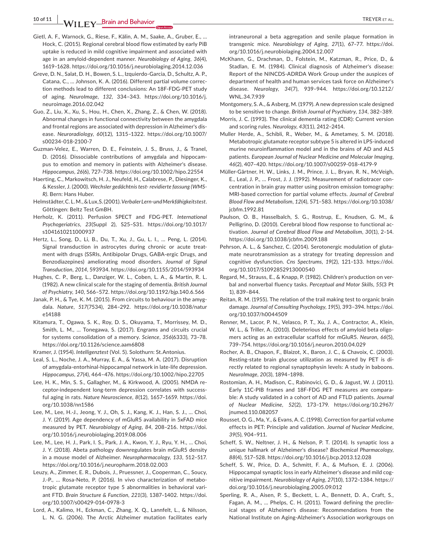**10 of 11 |**  TREYER et al.

- Gietl, A. F., Warnock, G., Riese, F., Kälin, A. M., Saake, A., Gruber, E., … Hock, C. (2015). Regional cerebral blood flow estimated by early PiB uptake is reduced in mild cognitive impairment and associated with age in an amyloid-dependent manner. *Neurobiology of Aging*, *36*(4), 1619–1628. <https://doi.org/10.1016/j.neurobiolaging.2014.12.036>
- Greve, D. N., Salat, D. H., Bowen, S. L., Izquierdo-Garcia, D., Schultz, A. P., Catana, C., … Johnson, K. A. (2016). Different partial volume correction methods lead to different conclusions: An 18F-FDG-PET study of aging. *NeuroImage*, *132*, 334–343. [https://doi.org/10.1016/j.](https://doi.org/10.1016/j.neuroimage.2016.02.042) [neuroimage.2016.02.042](https://doi.org/10.1016/j.neuroimage.2016.02.042)
- Guo, Z., Liu, X., Xu, S., Hou, H., Chen, X., Zhang, Z., & Chen, W. (2018). Abnormal changes in functional connectivity between the amygdala and frontal regions are associated with depression in Alzheimer's disease. *Neuroradiology*, *60*(12), 1315–1322. [https://doi.org/10.1007/](https://doi.org/10.1007/s00234-018-2100-7) [s00234-018-2100-7](https://doi.org/10.1007/s00234-018-2100-7)
- Guzman-Velez, E., Warren, D. E., Feinstein, J. S., Bruss, J., & Tranel, D. (2016). Dissociable contributions of amygdala and hippocampus to emotion and memory in patients with Alzheimer's disease. *Hippocampus*, *26*(6), 727–738. <https://doi.org/10.1002/hipo.22554>
- Haerting, C., Markowitsch, H. J., Neufeld, H., Calabrese, P., Diesinger, K., & Kessler, J. (2000). *Wechsler gedächtnis test- revidierte fassung (WMS-R)*. Bern: Hans Huber.
- Helmstädter,C.L.M.,&Lux,S.(2001).*Verbaler Lern-und Merkfähigkeitstest*. Göttingen: Beltz Test GmBH.
- Herholz, K. (2011). Perfusion SPECT and FDG-PET. *International Psychogeriatrics*, *23*(Suppl 2), S25–S31. [https://doi.org/10.1017/](https://doi.org/10.1017/s1041610211000937) [s1041610211000937](https://doi.org/10.1017/s1041610211000937)
- Hertz, L., Song, D., Li, B., Du, T., Xu, J., Gu, L. I., … Peng, L. (2014). Signal transduction in astrocytes during chronic or acute treatment with drugs (SSRIs, Antibipolar Drugs, GABA-ergic Drugs, and Benzodiazepines) ameliorating mood disorders. *Journal of Signal Transduction*, *2014*, 593934. <https://doi.org/10.1155/2014/593934>
- Hughes, C. P., Berg, L., Danziger, W. L., Coben, L. A., & Martin, R. L. (1982). A new clinical scale for the staging of dementia. *British Journal of Psychiatry*, *140*, 566–572. <https://doi.org/10.1192/bjp.140.6.566>
- Janak, P. H., & Tye, K. M. (2015). From circuits to behaviour in the amygdala. *Nature*, *517*(7534), 284–292. [https://doi.org/10.1038/natur](https://doi.org/10.1038/nature14188) [e14188](https://doi.org/10.1038/nature14188)
- Kitamura, T., Ogawa, S. K., Roy, D. S., Okuyama, T., Morrissey, M. D., Smith, L. M., … Tonegawa, S. (2017). Engrams and circuits crucial for systems consolidation of a memory. *Science*, *356*(6333), 73–78. <https://doi.org/10.1126/science.aam6808>
- Kramer, J. (1954). *Intelligenztest* (Vol. 5). Solothurn: St.Antonius.
- Leal, S. L., Noche, J. A., Murray, E. A., & Yassa, M. A. (2017). Disruption of amygdala-entorhinal-hippocampal network in late-life depression. *Hippocampus*, *27*(4), 464–476. <https://doi.org/10.1002/hipo.22705>
- Lee, H. K., Min, S. S., Gallagher, M., & Kirkwood, A. (2005). NMDA receptor-independent long-term depression correlates with successful aging in rats. *Nature Neuroscience*, *8*(12), 1657–1659. [https://doi.](https://doi.org/10.1038/nn1586) [org/10.1038/nn1586](https://doi.org/10.1038/nn1586)
- Lee, M., Lee, H.-J., Jeong, Y. J., Oh, S. J., Kang, K. J., Han, S. J., … Choi, J. Y. (2019). Age dependency of mGluR5 availability in 5xFAD mice measured by PET. *Neurobiology of Aging*, *84*, 208–216. [https://doi.](https://doi.org/10.1016/j.neurobiolaging.2019.08.006) [org/10.1016/j.neurobiolaging.2019.08.006](https://doi.org/10.1016/j.neurobiolaging.2019.08.006)
- Lee, M., Lee, H. J., Park, I. S., Park, J. A., Kwon, Y. J., Ryu, Y. H., … Choi, J. Y. (2018). Abeta pathology downregulates brain mGluR5 density in a mouse model of Alzheimer. *Neuropharmacology*, *133*, 512–517. <https://doi.org/10.1016/j.neuropharm.2018.02.003>
- Leuzy, A., Zimmer, E. R., Dubois, J., Pruessner, J., Cooperman, C., Soucy, J.-P., … Rosa-Neto, P. (2016). In vivo characterization of metabotropic glutamate receptor type 5 abnormalities in behavioral variant FTD. *Brain Structure & Function*, *221*(3), 1387–1402. [https://doi.](https://doi.org/10.1007/s00429-014-0978-3) [org/10.1007/s00429-014-0978-3](https://doi.org/10.1007/s00429-014-0978-3)
- Lord, A., Kalimo, H., Eckman, C., Zhang, X. Q., Lannfelt, L., & Nilsson, L. N. G. (2006). The Arctic Alzheimer mutation facilitates early

intraneuronal a beta aggregation and senile plaque formation in transgenic mice. *Neurobiology of Aging*, *27*(1), 67–77. [https://doi.](https://doi.org/10.1016/j.neurobiolaging.2004.12.007) [org/10.1016/j.neurobiolaging.2004.12.007](https://doi.org/10.1016/j.neurobiolaging.2004.12.007)

- McKhann, G., Drachman, D., Folstein, M., Katzman, R., Price, D., & Stadlan, E. M. (1984). Clinical diagnosis of Alzheimer's disease: Report of the NINCDS-ADRDA Work Group under the auspices of department of health and human services task force on Alzheimer's disease. *Neurology*, *34*(7), 939–944. [https://doi.org/10.1212/](https://doi.org/10.1212/WNL.34.7.939) [WNL.34.7.939](https://doi.org/10.1212/WNL.34.7.939)
- Montgomery, S. A., & Asberg, M. (1979). A new depression scale designed to be sensitive to change. *British Journal of Psychiatry*, *134*, 382–389.
- Morris, J. C. (1993). The clinical dementia rating (CDR): Current version and scoring rules. *Neurology*, *43*(11), 2412–2414.
- Muller Herde, A., Schibli, R., Weber, M., & Ametamey, S. M. (2018). Metabotropic glutamate receptor subtype 5 is altered in LPS-induced murine neuroinflammation model and in the brains of AD and ALS patients. *European Journal of Nuclear Medicine and Molecular Imaging*, *46*(2), 407–420. <https://doi.org/10.1007/s00259-018-4179-9>
- Müller-Gärtner, H. W., Links, J. M., Prince, J. L., Bryan, R. N., McVeigh, E., Leal, J. P., … Frost, J. J. (1992). Measurement of radiotracer concentration in brain gray matter using positron emission tomography: MRI-based correction for partial volume effects. *Journal of Cerebral Blood Flow and Metabolism*, *12*(4), 571–583. [https://doi.org/10.1038/](https://doi.org/10.1038/jcbfm.1992.81) [jcbfm.1992.81](https://doi.org/10.1038/jcbfm.1992.81)
- Paulson, O. B., Hasselbalch, S. G., Rostrup, E., Knudsen, G. M., & Pelligrino, D. (2010). Cerebral blood flow response to functional activation. *Journal of Cerebral Blood Flow and Metabolism*, *30*(1), 2–14. <https://doi.org/10.1038/jcbfm.2009.188>
- Pehrson, A. L., & Sanchez, C. (2014). Serotonergic modulation of glutamate neurotransmission as a strategy for treating depression and cognitive dysfunction. *Cns Spectrums*, *19*(2), 121–133. [https://doi.](https://doi.org/10.1017/S1092852913000540) [org/10.1017/S1092852913000540](https://doi.org/10.1017/S1092852913000540)
- Regard, M., Strauss, E., & Knapp, P. (1982). Children's production on verbal and nonverbal fluency tasks. *Perceptual and Motor Skills*, *55*(3 Pt 1), 839–844.
- Reitan, R. M. (1955). The relation of the trail making test to organic brain damage. *Journal of Consulting Psychology*, *19*(5), 393–394. [https://doi.](https://doi.org/10.1037/h0044509) [org/10.1037/h0044509](https://doi.org/10.1037/h0044509)
- Renner, M., Lacor, P. N., Velasco, P. T., Xu, J. A., Contractor, A., Klein, W. L., & Triller, A. (2010). Deleterious effects of amyloid beta oligomers acting as an extracellular scaffold for mGluR5. *Neuron*, *66*(5), 739–754. <https://doi.org/10.1016/j.neuron.2010.04.029>
- Rocher, A. B., Chapon, F., Blaizot, X., Baron, J. C., & Chavoix, C. (2003). Resting-state brain glucose utilization as measured by PET is directly related to regional synaptophysin levels: A study in baboons. *NeuroImage*, *20*(3), 1894–1898.
- Rostomian, A. H., Madison, C., Rabinovici, G. D., & Jagust, W. J. (2011). Early 11C-PIB frames and 18F-FDG PET measures are comparable: A study validated in a cohort of AD and FTLD patients. *Journal of Nuclear Medicine*, *52*(2), 173–179. [https://doi.org/10.2967/](https://doi.org/10.2967/jnumed.110.082057) [jnumed.110.082057](https://doi.org/10.2967/jnumed.110.082057)
- Rousset, O. G., Ma, Y., & Evans, A. C. (1998). Correction for partial volume effects in PET: Principle and validation. *Journal of Nuclear Medicine*, *39*(5), 904–911.
- Scheff, S. W., Neltner, J. H., & Nelson, P. T. (2014). Is synaptic loss a unique hallmark of Alzheimer's disease? *Biochemical Pharmacology*, *88*(4), 517–528. <https://doi.org/10.1016/j.bcp.2013.12.028>
- Scheff, S. W., Price, D. A., Schmitt, F. A., & Mufson, E. J. (2006). Hippocampal synaptic loss in early Alzheimer's disease and mild cognitive impairment. *Neurobiology of Aging*, *27*(10), 1372–1384. [https://](https://doi.org/10.1016/j.neurobiolaging.2005.09.012) [doi.org/10.1016/j.neurobiolaging.2005.09.012](https://doi.org/10.1016/j.neurobiolaging.2005.09.012)
- Sperling, R. A., Aisen, P. S., Beckett, L. A., Bennett, D. A., Craft, S., Fagan, A. M., … Phelps, C. H. (2011). Toward defining the preclinical stages of Alzheimer's disease: Recommendations from the National Institute on Aging-Alzheimer's Association workgroups on